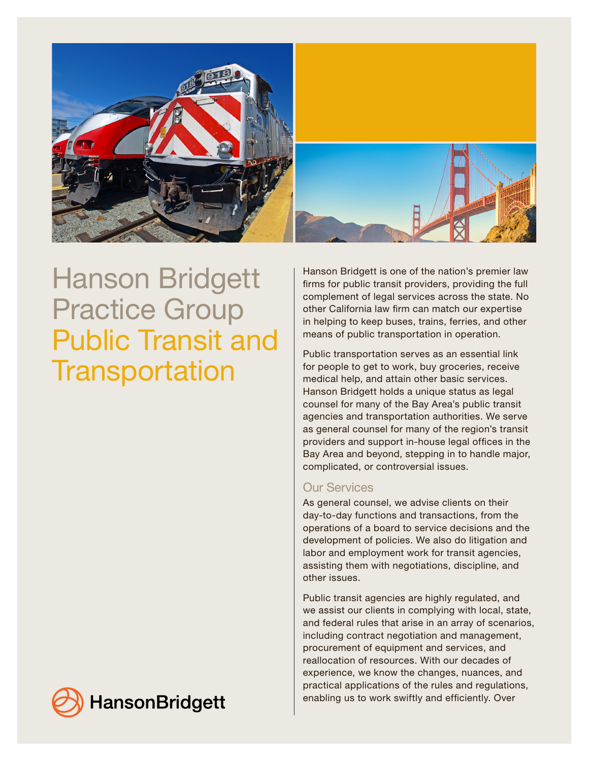

# Hanson Bridgett Practice Group Public Transit and **Transportation**

Hanson Bridgett is one of the nation's premier law firms for public transit providers, providing the full complement of legal services across the state. No other California law firm can match our expertise in helping to keep buses, trains, ferries, and other means of public transportation in operation.

Public transportation serves as an essential link for people to get to work, buy groceries, receive medical help, and attain other basic services. Hanson Bridgett holds a unique status as legal counsel for many of the Bay Area's public transit agencies and transportation authorities. We serve as general counsel for many of the region's transit providers and support in-house legal offices in the Bay Area and beyond, stepping in to handle major, complicated, or controversial issues.

# Our Services

As general counsel, we advise clients on their day-to-day functions and transactions, from the operations of a board to service decisions and the development of policies. We also do litigation and labor and employment work for transit agencies, assisting them with negotiations, discipline, and other issues.

Public transit agencies are highly regulated, and we assist our clients in complying with local, state, and federal rules that arise in an array of scenarios, including contract negotiation and management, procurement of equipment and services, and reallocation of resources. With our decades of experience, we know the changes, nuances, and practical applications of the rules and regulations, enabling us to work swiftly and efficiently. Over

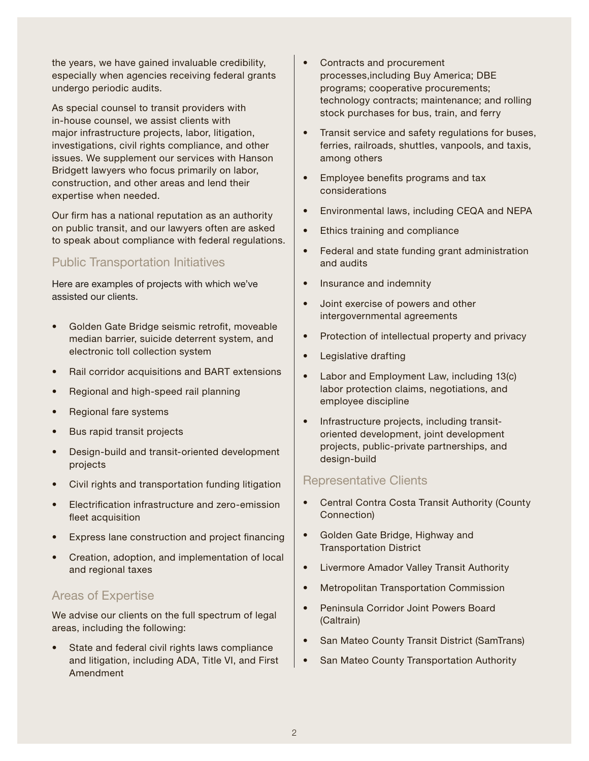the years, we have gained invaluable credibility, especially when agencies receiving federal grants undergo periodic audits.

As special counsel to transit providers with in-house counsel, we assist clients with major infrastructure projects, labor, litigation, investigations, civil rights compliance, and other issues. We supplement our services with Hanson Bridgett lawyers who focus primarily on labor, construction, and other areas and lend their expertise when needed.

Our firm has a national reputation as an authority on public transit, and our lawyers often are asked to speak about compliance with federal regulations.

### Public Transportation Initiatives

Here are examples of projects with which we've assisted our clients.

- Golden Gate Bridge seismic retrofit, moveable median barrier, suicide deterrent system, and electronic toll collection system
- Rail corridor acquisitions and BART extensions
- Regional and high-speed rail planning
- Regional fare systems
- Bus rapid transit projects
- Design-build and transit-oriented development projects
- Civil rights and transportation funding litigation
- Electrification infrastructure and zero-emission fleet acquisition
- Express lane construction and project financing
- Creation, adoption, and implementation of local and regional taxes

# Areas of Expertise

We advise our clients on the full spectrum of legal areas, including the following:

State and federal civil rights laws compliance and litigation, including ADA, Title VI, and First Amendment

- Contracts and procurement processes,including Buy America; DBE programs; cooperative procurements; technology contracts; maintenance; and rolling stock purchases for bus, train, and ferry
- Transit service and safety regulations for buses, ferries, railroads, shuttles, vanpools, and taxis, among others
- Employee benefits programs and tax considerations
- Environmental laws, including CEQA and NEPA
- Ethics training and compliance
- Federal and state funding grant administration and audits
- Insurance and indemnity
- Joint exercise of powers and other intergovernmental agreements
- Protection of intellectual property and privacy
- Legislative drafting
- Labor and Employment Law, including 13(c) labor protection claims, negotiations, and employee discipline
- Infrastructure projects, including transitoriented development, joint development projects, public-private partnerships, and design-build

#### Representative Clients

- Central Contra Costa Transit Authority (County Connection)
- Golden Gate Bridge, Highway and Transportation District
- Livermore Amador Valley Transit Authority
- Metropolitan Transportation Commission
- Peninsula Corridor Joint Powers Board (Caltrain)
- San Mateo County Transit District (SamTrans)
- San Mateo County Transportation Authority